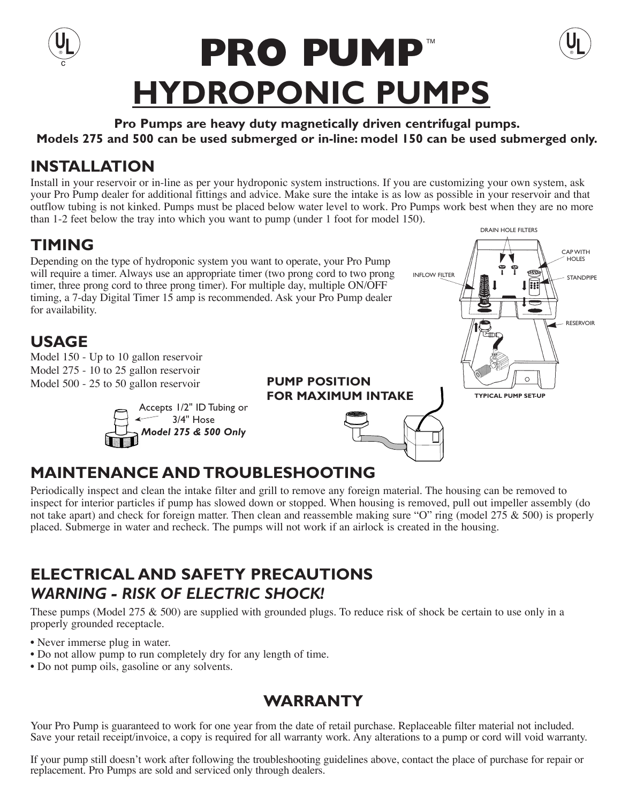

**Pro Pumps are heavy duty magnetically driven centrifugal pumps. Models 275 and 500 can be used submerged or in-line: model 150 can be used submerged only.**

## **INSTALLATION**

Install in your reservoir or in-line as per your hydroponic system instructions. If you are customizing your own system, ask your Pro Pump dealer for additional fittings and advice. Make sure the intake is as low as possible in your reservoir and that outflow tubing is not kinked. Pumps must be placed below water level to work. Pro Pumps work best when they are no more than 1-2 feet below the tray into which you want to pump (under 1 foot for model 150).

#### **TIMING** Depending on the type of hydroponic system you want to operate, your Pro Pump will require a timer. Always use an appropriate timer (two prong cord to two prong timer, three prong cord to three prong timer). For multiple day, multiple ON/OFF timing, a 7-day Digital Timer 15 amp is recommended. Ask your Pro Pump dealer for availability.

### **USAGE**

Model 150 - Up to 10 gallon reservoir Model 275 - 10 to 25 gallon reservoir Model 500 - 25 to 50 gallon reservoir



# DRAIN HOLE FILTERS CAP WITH **HOLES** INFLOW FILTER  $\| \cdot \|_1$  if  $\|$   $\mathbb{E}$   $\|$   $\|$   $\leq$  stand pipe RESERVOIR  $\circ$ **FOR MAXIMUM INTAKETYPICAL PUMP SET-UP**

# **MAINTENANCE AND TROUBLESHOOTING**

Periodically inspect and clean the intake filter and grill to remove any foreign material. The housing can be removed to inspect for interior particles if pump has slowed down or stopped. When housing is removed, pull out impeller assembly (do not take apart) and check for foreign matter. Then clean and reassemble making sure "O" ring (model  $275 \& 500$ ) is properly placed. Submerge in water and recheck. The pumps will not work if an airlock is created in the housing.

**PUMP POSITION**

# **ELECTRICAL AND SAFETY PRECAUTIONS**  *WARNING - RISK OF ELECTRIC SHOCK!*

These pumps (Model 275  $\&$  500) are supplied with grounded plugs. To reduce risk of shock be certain to use only in a properly grounded receptacle.

- Never immerse plug in water.
- Do not allow pump to run completely dry for any length of time.
- Do not pump oils, gasoline or any solvents.

## **WARRANTY**

Your Pro Pump is guaranteed to work for one year from the date of retail purchase. Replaceable filter material not included. Save your retail receipt/invoice, a copy is required for all warranty work. Any alterations to a pump or cord will void warranty.

If your pump still doesn't work after following the troubleshooting guidelines above, contact the place of purchase for repair or replacement. Pro Pumps are sold and serviced only through dealers.